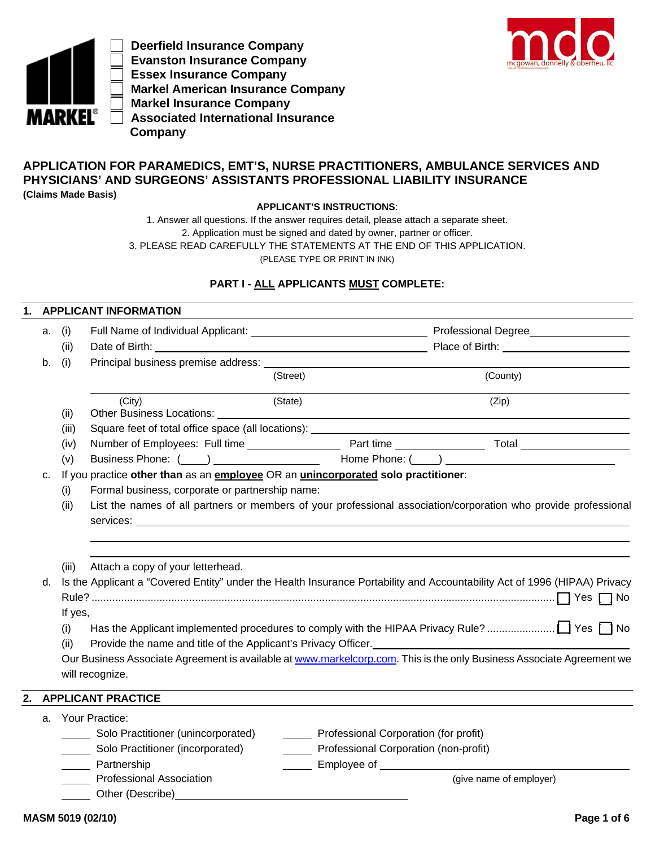

 **Deerfield Insurance Company Evanston Insurance Company Essex Insurance Company Markel American Insurance Company Markel Insurance Company Associated International Insurance Company**



# **APPLICATION FOR PARAMEDICS, EMT'S, NURSE PRACTITIONERS, AMBULANCE SERVICES AND PHYSICIANS' AND SURGEONS' ASSISTANTS PROFESSIONAL LIABILITY INSURANCE (Claims Made Basis)**

**APPLICANT'S INSTRUCTIONS**:

1. Answer all questions. If the answer requires detail, please attach a separate sheet. 2. Application must be signed and dated by owner, partner or officer. 3. PLEASE READ CAREFULLY THE STATEMENTS AT THE END OF THIS APPLICATION. (PLEASE TYPE OR PRINT IN INK)

# **PART I - ALL APPLICANTS MUST COMPLETE:**

### **1. APPLICANT INFORMATION**

| a. | (i)              |                                                                                                                                                                                                                                          |                                       |                                                                                                                       |  |  |  |  |  |  |
|----|------------------|------------------------------------------------------------------------------------------------------------------------------------------------------------------------------------------------------------------------------------------|---------------------------------------|-----------------------------------------------------------------------------------------------------------------------|--|--|--|--|--|--|
|    | (ii)             |                                                                                                                                                                                                                                          |                                       |                                                                                                                       |  |  |  |  |  |  |
| b. | (i)              | Principal business premise address: _                                                                                                                                                                                                    |                                       |                                                                                                                       |  |  |  |  |  |  |
|    |                  |                                                                                                                                                                                                                                          | (Street)                              | (County)                                                                                                              |  |  |  |  |  |  |
|    | (ii)             | (City)<br>Other Business Locations: Letter and the contract of the contract of the contract of the contract of the contract of the contract of the contract of the contract of the contract of the contract of the contract of the contr | (State)                               | (Zip)                                                                                                                 |  |  |  |  |  |  |
|    | (iii)            |                                                                                                                                                                                                                                          |                                       |                                                                                                                       |  |  |  |  |  |  |
|    | (iv)             |                                                                                                                                                                                                                                          |                                       |                                                                                                                       |  |  |  |  |  |  |
|    | (v)              |                                                                                                                                                                                                                                          |                                       |                                                                                                                       |  |  |  |  |  |  |
| c. |                  | If you practice other than as an employee OR an <i>unincorporated</i> solo practitioner:                                                                                                                                                 |                                       |                                                                                                                       |  |  |  |  |  |  |
|    | (i)              | Formal business, corporate or partnership name:                                                                                                                                                                                          |                                       |                                                                                                                       |  |  |  |  |  |  |
|    | (ii)             |                                                                                                                                                                                                                                          |                                       | List the names of all partners or members of your professional association/corporation who provide professional       |  |  |  |  |  |  |
|    |                  |                                                                                                                                                                                                                                          |                                       |                                                                                                                       |  |  |  |  |  |  |
|    |                  |                                                                                                                                                                                                                                          |                                       |                                                                                                                       |  |  |  |  |  |  |
|    |                  |                                                                                                                                                                                                                                          |                                       |                                                                                                                       |  |  |  |  |  |  |
|    | (iii)            | Attach a copy of your letterhead.                                                                                                                                                                                                        |                                       |                                                                                                                       |  |  |  |  |  |  |
| d. |                  | Is the Applicant a "Covered Entity" under the Health Insurance Portability and Accountability Act of 1996 (HIPAA) Privacy                                                                                                                |                                       |                                                                                                                       |  |  |  |  |  |  |
|    |                  |                                                                                                                                                                                                                                          |                                       |                                                                                                                       |  |  |  |  |  |  |
|    | If yes,          |                                                                                                                                                                                                                                          |                                       |                                                                                                                       |  |  |  |  |  |  |
|    | (i)              |                                                                                                                                                                                                                                          |                                       |                                                                                                                       |  |  |  |  |  |  |
|    | (ii)             |                                                                                                                                                                                                                                          |                                       | Provide the name and title of the Applicant's Privacy Officer.<br><u>Example 2006</u>                                 |  |  |  |  |  |  |
|    |                  |                                                                                                                                                                                                                                          |                                       | Our Business Associate Agreement is available at www.markelcorp.com. This is the only Business Associate Agreement we |  |  |  |  |  |  |
|    |                  | will recognize.                                                                                                                                                                                                                          |                                       |                                                                                                                       |  |  |  |  |  |  |
| 2. |                  | <b>APPLICANT PRACTICE</b>                                                                                                                                                                                                                |                                       |                                                                                                                       |  |  |  |  |  |  |
| a. |                  | Your Practice:                                                                                                                                                                                                                           |                                       |                                                                                                                       |  |  |  |  |  |  |
|    |                  | Solo Practitioner (unincorporated)                                                                                                                                                                                                       | Professional Corporation (for profit) |                                                                                                                       |  |  |  |  |  |  |
|    | $\sim$ 100 $\pm$ | Solo Practitioner (incorporated)                                                                                                                                                                                                         | Professional Corporation (non-profit) |                                                                                                                       |  |  |  |  |  |  |
|    |                  | Partnership                                                                                                                                                                                                                              |                                       |                                                                                                                       |  |  |  |  |  |  |
|    |                  | <b>Professional Association</b>                                                                                                                                                                                                          |                                       | (give name of employer)                                                                                               |  |  |  |  |  |  |
|    |                  | Other (Describe) example and the control of the control of the control of the control of the control of the control of the control of the control of the control of the control of the control of the control of the control o           |                                       |                                                                                                                       |  |  |  |  |  |  |
|    |                  |                                                                                                                                                                                                                                          |                                       |                                                                                                                       |  |  |  |  |  |  |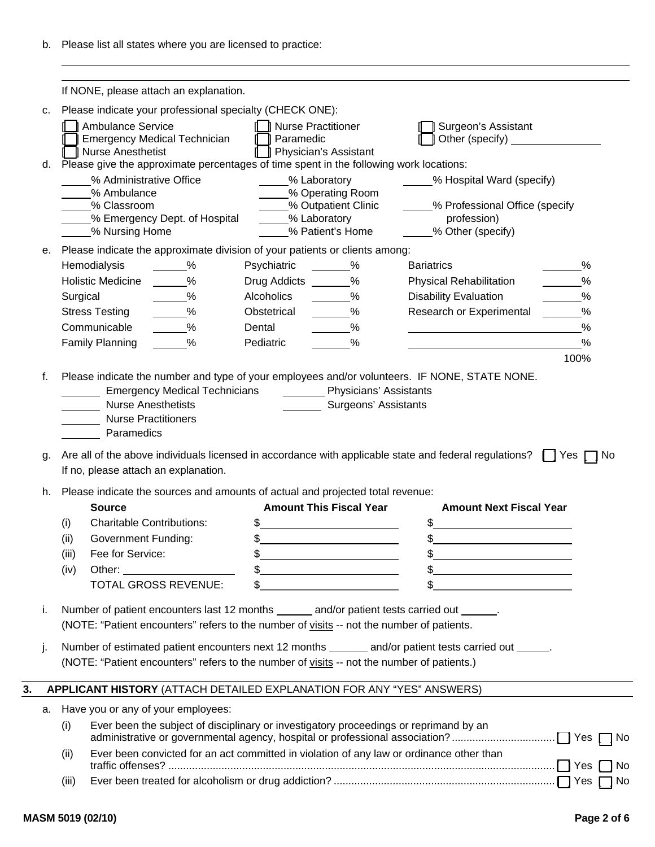|                                    | If NONE, please attach an explanation.                                |                                      |                                                                                                                  |                                                |                                                                                                                             |               |
|------------------------------------|-----------------------------------------------------------------------|--------------------------------------|------------------------------------------------------------------------------------------------------------------|------------------------------------------------|-----------------------------------------------------------------------------------------------------------------------------|---------------|
|                                    |                                                                       |                                      |                                                                                                                  |                                                |                                                                                                                             |               |
| c.                                 |                                                                       |                                      | Please indicate your professional specialty (CHECK ONE):                                                         |                                                |                                                                                                                             |               |
|                                    | Ambulance Service<br><b>Emergency Medical Technician</b>              |                                      | <b>I</b> Nurse Practitioner<br>Paramedic                                                                         |                                                | Surgeon's Assistant<br>Other (specify) _________________                                                                    |               |
|                                    | □ Nurse Anesthetist                                                   |                                      | <b>Physician's Assistant</b>                                                                                     |                                                |                                                                                                                             |               |
|                                    |                                                                       |                                      | d. Please give the approximate percentages of time spent in the following work locations:                        |                                                |                                                                                                                             |               |
|                                    | % Administrative Office<br>% Ambulance                                |                                      | % Laboratory                                                                                                     | % Operating Room                               | % Hospital Ward (specify)                                                                                                   |               |
|                                    | % Classroom                                                           |                                      |                                                                                                                  | % Outpatient Clinic                            | % Professional Office (specify                                                                                              |               |
|                                    |                                                                       | % Emergency Dept. of Hospital        | % Laboratory                                                                                                     |                                                | profession)                                                                                                                 |               |
|                                    | % Nursing Home                                                        |                                      |                                                                                                                  | % Patient's Home                               | % Other (specify)                                                                                                           |               |
| е.                                 |                                                                       |                                      | Please indicate the approximate division of your patients or clients among:                                      |                                                |                                                                                                                             |               |
|                                    | Hemodialysis                                                          | $\%$                                 | Psychiatric                                                                                                      | $\%$                                           | <b>Bariatrics</b>                                                                                                           | %             |
|                                    | <b>Holistic Medicine</b>                                              | %                                    | Drug Addicts _______%                                                                                            |                                                | <b>Physical Rehabilitation</b>                                                                                              | %             |
|                                    | Surgical                                                              | %                                    | Alcoholics                                                                                                       | $\%$                                           | <b>Disability Evaluation</b>                                                                                                | $\frac{0}{0}$ |
|                                    | <b>Stress Testing</b>                                                 | $\%$                                 | Obstetrical                                                                                                      | %                                              | Research or Experimental                                                                                                    | %             |
|                                    | Communicable                                                          | $\frac{0}{0}$<br>$\%$                | Dental                                                                                                           | $\%$                                           |                                                                                                                             | %             |
|                                    | <b>Family Planning</b>                                                |                                      | Pediatric                                                                                                        | %                                              |                                                                                                                             | %<br>100%     |
|                                    | <b>Nurse Anesthetists</b><br><b>Nurse Practitioners</b><br>Paramedics | <b>Emergency Medical Technicians</b> |                                                                                                                  | Physicians' Assistants<br>Surgeons' Assistants |                                                                                                                             |               |
|                                    | If no, please attach an explanation.                                  |                                      |                                                                                                                  |                                                | Are all of the above individuals licensed in accordance with applicable state and federal regulations? $\Box$ Yes $\Box$ No |               |
|                                    | <b>Source</b>                                                         |                                      | Please indicate the sources and amounts of actual and projected total revenue:<br><b>Amount This Fiscal Year</b> |                                                | <b>Amount Next Fiscal Year</b>                                                                                              |               |
| (i)                                | <b>Charitable Contributions:</b>                                      |                                      | \$                                                                                                               |                                                | \$                                                                                                                          |               |
| (ii)                               | <b>Government Funding:</b>                                            |                                      | $\frac{1}{2}$                                                                                                    |                                                | \$                                                                                                                          |               |
| (iii)                              | Fee for Service:                                                      |                                      | \$.                                                                                                              |                                                | ደ                                                                                                                           |               |
| (iv)                               |                                                                       |                                      | $\frac{1}{2}$                                                                                                    |                                                | <u> 1989 - Johann Barn, amerikansk politiker (</u>                                                                          |               |
|                                    |                                                                       | <b>TOTAL GROSS REVENUE:</b>          | \$                                                                                                               |                                                |                                                                                                                             |               |
|                                    |                                                                       |                                      | (NOTE: "Patient encounters" refers to the number of visits -- not the number of patients.                        |                                                | Number of patient encounters last 12 months _______ and/or patient tests carried out ______.                                |               |
|                                    |                                                                       |                                      |                                                                                                                  |                                                | Number of estimated patient encounters next 12 months ______ and/or patient tests carried out _____.                        |               |
|                                    |                                                                       |                                      | (NOTE: "Patient encounters" refers to the number of visits -- not the number of patients.)                       |                                                |                                                                                                                             |               |
|                                    |                                                                       |                                      | APPLICANT HISTORY (ATTACH DETAILED EXPLANATION FOR ANY "YES" ANSWERS)                                            |                                                |                                                                                                                             |               |
|                                    | Have you or any of your employees:                                    |                                      |                                                                                                                  |                                                |                                                                                                                             |               |
| (i)                                |                                                                       |                                      | Ever been the subject of disciplinary or investigatory proceedings or reprimand by an                            |                                                |                                                                                                                             |               |
| g.<br>h.<br>i.<br>j.<br>a.<br>(ii) |                                                                       |                                      |                                                                                                                  |                                                | Ever been convicted for an act committed in violation of any law or ordinance other than                                    |               |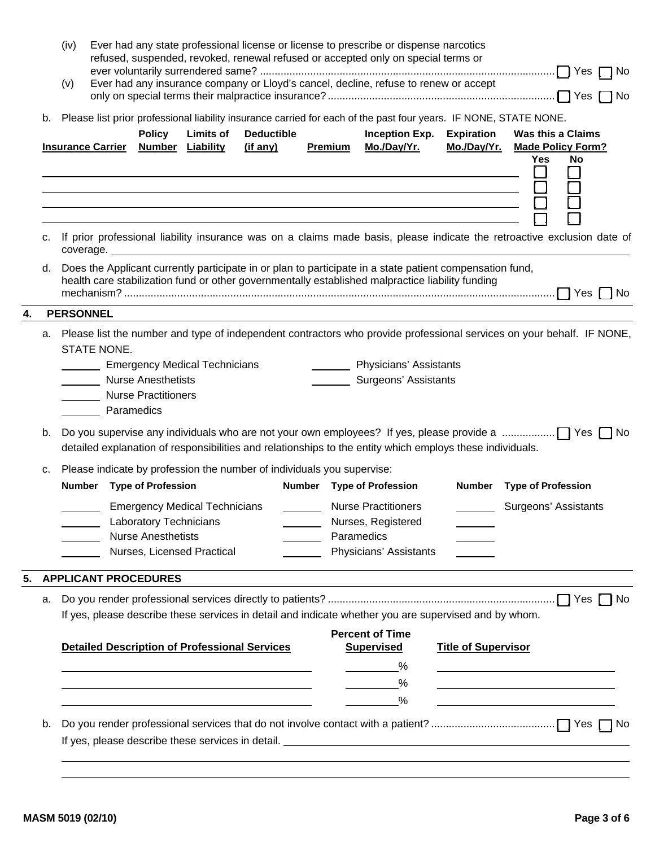|    |                                                                                                                 | (iv)<br>(v)                                                                                                      |                           |                                                     |                                                                    |                                                                        | Ever had any state professional license or license to prescribe or dispense narcotics<br>refused, suspended, revoked, renewal refused or accepted only on special terms or<br>Ever had any insurance company or Lloyd's cancel, decline, refuse to renew or accept |                                                                                                                                                                                                                                                              |  |                                               | No                        |                                       |  |
|----|-----------------------------------------------------------------------------------------------------------------|------------------------------------------------------------------------------------------------------------------|---------------------------|-----------------------------------------------------|--------------------------------------------------------------------|------------------------------------------------------------------------|--------------------------------------------------------------------------------------------------------------------------------------------------------------------------------------------------------------------------------------------------------------------|--------------------------------------------------------------------------------------------------------------------------------------------------------------------------------------------------------------------------------------------------------------|--|-----------------------------------------------|---------------------------|---------------------------------------|--|
|    | b.                                                                                                              | Please list prior professional liability insurance carried for each of the past four years. IF NONE, STATE NONE. |                           |                                                     |                                                                    |                                                                        | <b>Inception Exp.</b>                                                                                                                                                                                                                                              |                                                                                                                                                                                                                                                              |  | <b>Expiration</b><br><b>Was this a Claims</b> |                           |                                       |  |
|    |                                                                                                                 |                                                                                                                  | <b>Insurance Carrier</b>  | <b>Policy</b>                                       | <b>Limits of</b><br><b>Number Liability</b>                        | <b>Deductible</b><br>(if any)                                          | Premium                                                                                                                                                                                                                                                            | Mo./Day/Yr.<br><u> 1999 - Johann Harry Harry Harry Harry Harry Harry Harry Harry Harry Harry Harry Harry Harry Harry Harry Harry</u><br><u> 1989 - Jan Salaman Santa Santa Barat da Santa Santa Barat da Santa Barat da Santa Barat da Santa Barat da Sa</u> |  | Mo./Day/Yr.                                   | <b>Yes</b><br>I I         | <b>Made Policy Form?</b><br><b>No</b> |  |
|    |                                                                                                                 |                                                                                                                  |                           |                                                     |                                                                    |                                                                        |                                                                                                                                                                                                                                                                    | c. If prior professional liability insurance was on a claims made basis, please indicate the retroactive exclusion date of                                                                                                                                   |  |                                               |                           |                                       |  |
|    |                                                                                                                 |                                                                                                                  |                           |                                                     |                                                                    |                                                                        |                                                                                                                                                                                                                                                                    | d. Does the Applicant currently participate in or plan to participate in a state patient compensation fund,<br>health care stabilization fund or other governmentally established malpractice liability funding                                              |  |                                               |                           |                                       |  |
|    |                                                                                                                 | <b>PERSONNEL</b>                                                                                                 |                           |                                                     |                                                                    |                                                                        |                                                                                                                                                                                                                                                                    |                                                                                                                                                                                                                                                              |  |                                               |                           |                                       |  |
|    |                                                                                                                 |                                                                                                                  | STATE NONE.<br>Paramedics | <b>Nurse Anesthetists</b><br>Nurse Practitioners    | <b>Emergency Medical Technicians</b>                               |                                                                        |                                                                                                                                                                                                                                                                    | a. Please list the number and type of independent contractors who provide professional services on your behalf. IF NONE,<br><b>National Physicians' Assistants</b><br>Surgeons' Assistants                                                                   |  |                                               |                           |                                       |  |
|    | b.<br>detailed explanation of responsibilities and relationships to the entity which employs these individuals. |                                                                                                                  |                           |                                                     |                                                                    |                                                                        |                                                                                                                                                                                                                                                                    |                                                                                                                                                                                                                                                              |  |                                               |                           |                                       |  |
|    | C.                                                                                                              |                                                                                                                  |                           | Number Type of Profession                           |                                                                    | Please indicate by profession the number of individuals you supervise: |                                                                                                                                                                                                                                                                    | Number Type of Profession                                                                                                                                                                                                                                    |  | <b>Number</b>                                 | <b>Type of Profession</b> |                                       |  |
|    |                                                                                                                 |                                                                                                                  |                           | Laboratory Technicians<br><b>Nurse Anesthetists</b> | <b>Emergency Medical Technicians</b><br>Nurses, Licensed Practical |                                                                        |                                                                                                                                                                                                                                                                    | <b>Nurse Practitioners</b><br>Nurses, Registered<br>Paramedics<br>Physicians' Assistants                                                                                                                                                                     |  |                                               |                           | Surgeons' Assistants                  |  |
| 5. |                                                                                                                 |                                                                                                                  |                           | <b>APPLICANT PROCEDURES</b>                         |                                                                    |                                                                        |                                                                                                                                                                                                                                                                    |                                                                                                                                                                                                                                                              |  |                                               |                           |                                       |  |
|    | а.                                                                                                              |                                                                                                                  |                           |                                                     |                                                                    | <b>Detailed Description of Professional Services</b>                   |                                                                                                                                                                                                                                                                    | If yes, please describe these services in detail and indicate whether you are supervised and by whom.<br><b>Percent of Time</b><br><b>Supervised</b>                                                                                                         |  | <b>Title of Supervisor</b>                    |                           |                                       |  |
|    |                                                                                                                 |                                                                                                                  |                           |                                                     |                                                                    |                                                                        |                                                                                                                                                                                                                                                                    | %                                                                                                                                                                                                                                                            |  |                                               |                           |                                       |  |
|    | b.                                                                                                              |                                                                                                                  |                           |                                                     |                                                                    |                                                                        |                                                                                                                                                                                                                                                                    | %                                                                                                                                                                                                                                                            |  |                                               |                           |                                       |  |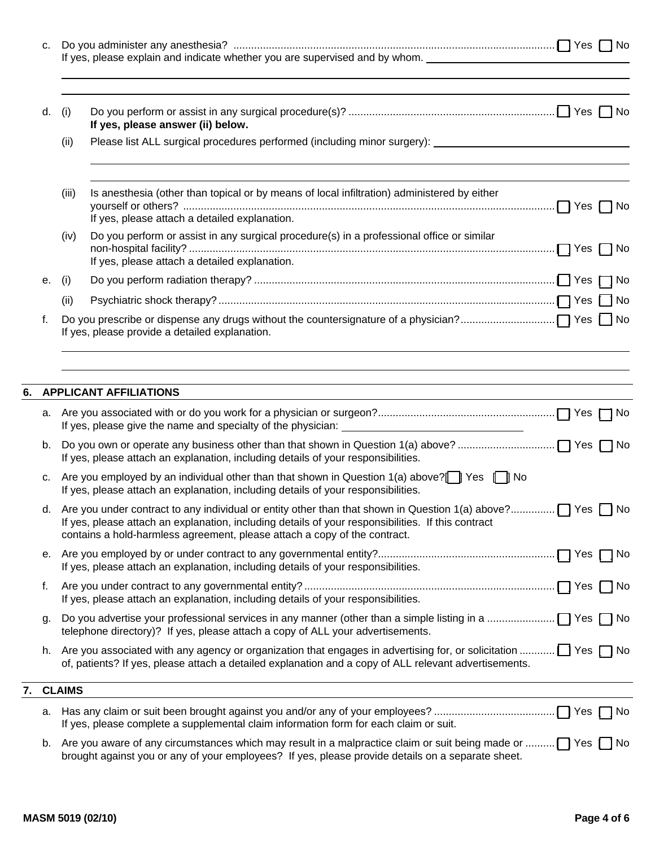|          |           | If yes, please explain and indicate whether you are supervised and by whom. _________________________________                                                                                                                        |    |
|----------|-----------|--------------------------------------------------------------------------------------------------------------------------------------------------------------------------------------------------------------------------------------|----|
| d.       | (i)       | If yes, please answer (ii) below.                                                                                                                                                                                                    |    |
|          | (ii)      | Please list ALL surgical procedures performed (including minor surgery): ___________________________                                                                                                                                 |    |
|          | (iii)     | Is anesthesia (other than topical or by means of local infiltration) administered by either<br>If yes, please attach a detailed explanation.                                                                                         |    |
|          | (iv)      | Do you perform or assist in any surgical procedure(s) in a professional office or similar<br>If yes, please attach a detailed explanation.                                                                                           |    |
| е.       | (i)       |                                                                                                                                                                                                                                      |    |
|          | (ii)      |                                                                                                                                                                                                                                      |    |
| f.       |           | If yes, please provide a detailed explanation.                                                                                                                                                                                       |    |
|          |           |                                                                                                                                                                                                                                      |    |
|          |           |                                                                                                                                                                                                                                      |    |
|          |           | If yes, please attach an explanation, including details of your responsibilities.                                                                                                                                                    |    |
| C.       |           | If yes, please attach an explanation, including details of your responsibilities.                                                                                                                                                    |    |
|          |           | If yes, please attach an explanation, including details of your responsibilities. If this contract<br>contains a hold-harmless agreement, please attach a copy of the contract.                                                      |    |
|          |           | If yes, please attach an explanation, including details of your responsibilities.                                                                                                                                                    |    |
|          |           | If yes, please attach an explanation, including details of your responsibilities.                                                                                                                                                    | No |
| f.<br>g. |           | telephone directory)? If yes, please attach a copy of ALL your advertisements.                                                                                                                                                       |    |
|          |           | h. Are you associated with any agency or organization that engages in advertising for, or solicitation $\Box$ Yes $\Box$ No<br>of, patients? If yes, please attach a detailed explanation and a copy of ALL relevant advertisements. |    |
|          | 7. CLAIMS |                                                                                                                                                                                                                                      |    |
|          |           | If yes, please complete a supplemental claim information form for each claim or suit.                                                                                                                                                |    |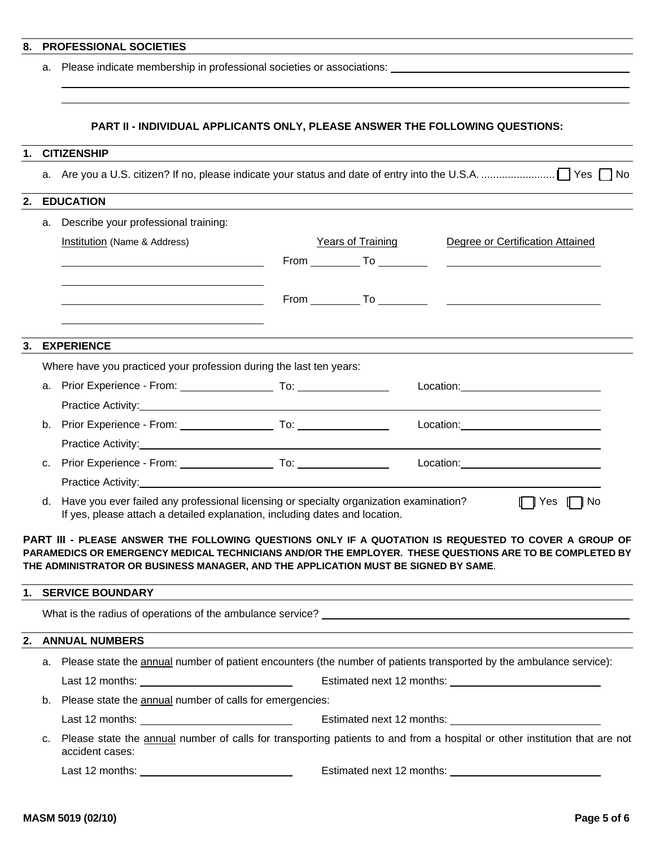### **8. PROFESSIONAL SOCIETIES**

a. Please indicate membership in professional societies or associations:

#### **PART II - INDIVIDUAL APPLICANTS ONLY, PLEASE ANSWER THE FOLLOWING QUESTIONS:**

#### **1. CITIZENSHIP**

a. Are you a U.S. citizen? If no, please indicate your status and date of entry into the U.S.A. ......................... [ ] Yes [ ] No

### **2. EDUCATION**

**3. EXPERIENCE** 

|    | a. | Describe your professional training:                                                                                                                                                                                                                                                                                          |                   |                                                                                                                                                                                                                               |                      |
|----|----|-------------------------------------------------------------------------------------------------------------------------------------------------------------------------------------------------------------------------------------------------------------------------------------------------------------------------------|-------------------|-------------------------------------------------------------------------------------------------------------------------------------------------------------------------------------------------------------------------------|----------------------|
|    |    | Institution (Name & Address)                                                                                                                                                                                                                                                                                                  | Years of Training | Degree or Certification Attained                                                                                                                                                                                              |                      |
|    |    | <u> 1989 - Johann Stoff, deutscher Stoffen und der Stoffen und der Stoffen und der Stoffen und der Stoffen und der</u>                                                                                                                                                                                                        |                   |                                                                                                                                                                                                                               |                      |
|    |    |                                                                                                                                                                                                                                                                                                                               |                   |                                                                                                                                                                                                                               |                      |
|    |    |                                                                                                                                                                                                                                                                                                                               |                   |                                                                                                                                                                                                                               |                      |
|    |    |                                                                                                                                                                                                                                                                                                                               |                   |                                                                                                                                                                                                                               |                      |
|    |    | <b>EXPERIENCE</b>                                                                                                                                                                                                                                                                                                             |                   |                                                                                                                                                                                                                               |                      |
|    |    | Where have you practiced your profession during the last ten years:                                                                                                                                                                                                                                                           |                   |                                                                                                                                                                                                                               |                      |
|    | a. |                                                                                                                                                                                                                                                                                                                               |                   | Location: the contract of the contract of the contract of the contract of the contract of the contract of the contract of the contract of the contract of the contract of the contract of the contract of the contract of the |                      |
|    |    |                                                                                                                                                                                                                                                                                                                               |                   |                                                                                                                                                                                                                               |                      |
|    | b. |                                                                                                                                                                                                                                                                                                                               |                   |                                                                                                                                                                                                                               |                      |
|    |    |                                                                                                                                                                                                                                                                                                                               |                   |                                                                                                                                                                                                                               |                      |
|    | c. |                                                                                                                                                                                                                                                                                                                               |                   |                                                                                                                                                                                                                               |                      |
|    |    |                                                                                                                                                                                                                                                                                                                               |                   |                                                                                                                                                                                                                               |                      |
|    | d. | Have you ever failed any professional licensing or specialty organization examination?<br>If yes, please attach a detailed explanation, including dates and location.                                                                                                                                                         |                   |                                                                                                                                                                                                                               | $\Box$ Yes $\Box$ No |
|    |    | PART III - PLEASE ANSWER THE FOLLOWING QUESTIONS ONLY IF A QUOTATION IS REQUESTED TO COVER A GROUP OF<br>PARAMEDICS OR EMERGENCY MEDICAL TECHNICIANS AND/OR THE EMPLOYER. THESE QUESTIONS ARE TO BE COMPLETED BY<br>THE ADMINISTRATOR OR BUSINESS MANAGER, AND THE APPLICATION MUST BE SIGNED BY SAME.<br>1. SERVICE BOUNDARY |                   |                                                                                                                                                                                                                               |                      |
|    |    |                                                                                                                                                                                                                                                                                                                               |                   |                                                                                                                                                                                                                               |                      |
|    |    |                                                                                                                                                                                                                                                                                                                               |                   |                                                                                                                                                                                                                               |                      |
| 2. |    | <b>ANNUAL NUMBERS</b>                                                                                                                                                                                                                                                                                                         |                   |                                                                                                                                                                                                                               |                      |
|    |    | a. Please state the annual number of patient encounters (the number of patients transported by the ambulance service):                                                                                                                                                                                                        |                   |                                                                                                                                                                                                                               |                      |
|    |    | Last 12 months: <u>subset of the set of the set of the set of the set of the set of the set of the set of the set of the set of the set of the set of the set of the set of the set of the set of the set of the set of the set </u>                                                                                          |                   |                                                                                                                                                                                                                               |                      |
|    | b. | Please state the annual number of calls for emergencies:                                                                                                                                                                                                                                                                      |                   |                                                                                                                                                                                                                               |                      |
|    |    |                                                                                                                                                                                                                                                                                                                               |                   |                                                                                                                                                                                                                               |                      |
|    | c. | Please state the annual number of calls for transporting patients to and from a hospital or other institution that are not<br>accident cases:                                                                                                                                                                                 |                   |                                                                                                                                                                                                                               |                      |

Last 12 months: Estimated next 12 months: